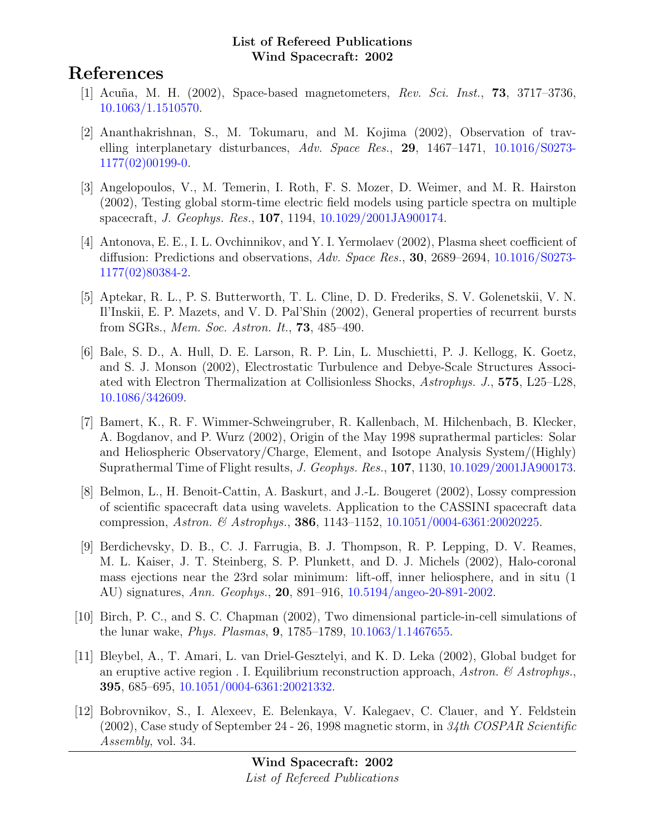# References

- [1] Acuña, M. H. (2002), Space-based magnetometers, Rev. Sci. Inst., **73**, 3717–3736, [10.1063/1.1510570.](http://dx.doi.org/10.1063/1.1510570)
- [2] Ananthakrishnan, S., M. Tokumaru, and M. Kojima (2002), Observation of travelling interplanetary disturbances, Adv. Space Res., 29, 1467–1471, [10.1016/S0273-](http://dx.doi.org/10.1016/S0273-1177(02)00199-0) [1177\(02\)00199-0.](http://dx.doi.org/10.1016/S0273-1177(02)00199-0)
- [3] Angelopoulos, V., M. Temerin, I. Roth, F. S. Mozer, D. Weimer, and M. R. Hairston (2002), Testing global storm-time electric field models using particle spectra on multiple spacecraft, J. Geophys. Res., 107, 1194, [10.1029/2001JA900174.](http://dx.doi.org/10.1029/2001JA900174)
- [4] Antonova, E. E., I. L. Ovchinnikov, and Y. I. Yermolaev (2002), Plasma sheet coefficient of diffusion: Predictions and observations, Adv. Space Res., 30, 2689–2694, [10.1016/S0273-](http://dx.doi.org/10.1016/S0273-1177(02)80384-2) [1177\(02\)80384-2.](http://dx.doi.org/10.1016/S0273-1177(02)80384-2)
- [5] Aptekar, R. L., P. S. Butterworth, T. L. Cline, D. D. Frederiks, S. V. Golenetskii, V. N. Il'Inskii, E. P. Mazets, and V. D. Pal'Shin (2002), General properties of recurrent bursts from SGRs., Mem. Soc. Astron. It., 73, 485–490.
- [6] Bale, S. D., A. Hull, D. E. Larson, R. P. Lin, L. Muschietti, P. J. Kellogg, K. Goetz, and S. J. Monson (2002), Electrostatic Turbulence and Debye-Scale Structures Associated with Electron Thermalization at Collisionless Shocks, Astrophys. J., 575, L25–L28, [10.1086/342609.](http://dx.doi.org/10.1086/342609)
- [7] Bamert, K., R. F. Wimmer-Schweingruber, R. Kallenbach, M. Hilchenbach, B. Klecker, A. Bogdanov, and P. Wurz (2002), Origin of the May 1998 suprathermal particles: Solar and Heliospheric Observatory/Charge, Element, and Isotope Analysis System/(Highly) Suprathermal Time of Flight results, J. Geophys. Res., 107, 1130, [10.1029/2001JA900173.](http://dx.doi.org/10.1029/2001JA900173)
- [8] Belmon, L., H. Benoit-Cattin, A. Baskurt, and J.-L. Bougeret (2002), Lossy compression of scientific spacecraft data using wavelets. Application to the CASSINI spacecraft data compression, Astron. & Astrophys., 386, 1143–1152, [10.1051/0004-6361:20020225.](http://dx.doi.org/10.1051/0004-6361:20020225)
- [9] Berdichevsky, D. B., C. J. Farrugia, B. J. Thompson, R. P. Lepping, D. V. Reames, M. L. Kaiser, J. T. Steinberg, S. P. Plunkett, and D. J. Michels (2002), Halo-coronal mass ejections near the 23rd solar minimum: lift-off, inner heliosphere, and in situ (1 AU) signatures, Ann. Geophys., 20, 891–916, [10.5194/angeo-20-891-2002.](http://dx.doi.org/10.5194/angeo-20-891-2002)
- [10] Birch, P. C., and S. C. Chapman (2002), Two dimensional particle-in-cell simulations of the lunar wake, Phys. Plasmas, 9, 1785–1789, [10.1063/1.1467655.](http://dx.doi.org/10.1063/1.1467655)
- [11] Bleybel, A., T. Amari, L. van Driel-Gesztelyi, and K. D. Leka (2002), Global budget for an eruptive active region . I. Equilibrium reconstruction approach, Astron.  $\mathcal{C}$  Astrophys. 395, 685–695, [10.1051/0004-6361:20021332.](http://dx.doi.org/10.1051/0004-6361:20021332)
- [12] Bobrovnikov, S., I. Alexeev, E. Belenkaya, V. Kalegaev, C. Clauer, and Y. Feldstein  $(2002)$ , Case study of September 24 - 26, 1998 magnetic storm, in 34th COSPAR Scientific Assembly, vol. 34.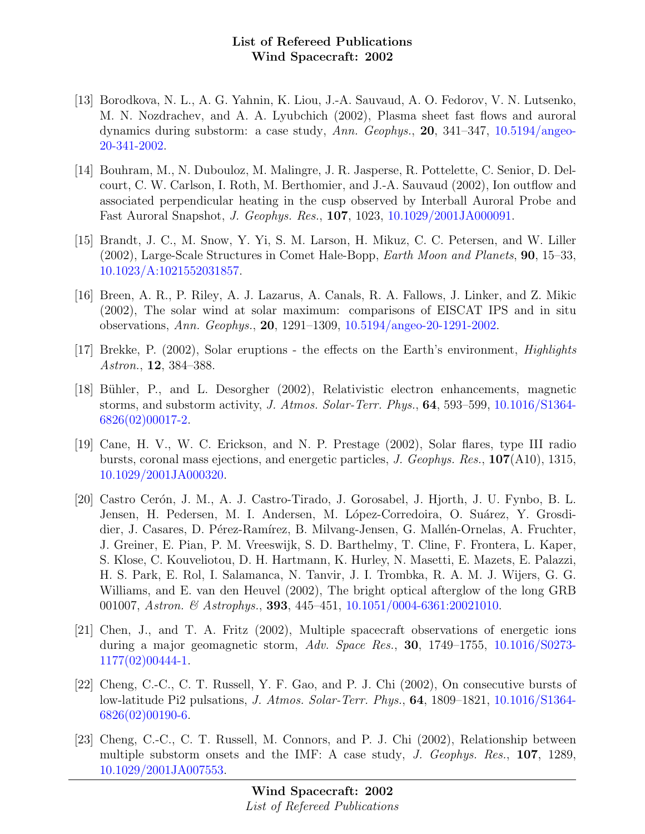- [13] Borodkova, N. L., A. G. Yahnin, K. Liou, J.-A. Sauvaud, A. O. Fedorov, V. N. Lutsenko, M. N. Nozdrachev, and A. A. Lyubchich (2002), Plasma sheet fast flows and auroral dynamics during substorm: a case study, Ann. Geophys., 20, 341–347, [10.5194/angeo-](http://dx.doi.org/10.5194/angeo-20-341-2002)[20-341-2002.](http://dx.doi.org/10.5194/angeo-20-341-2002)
- [14] Bouhram, M., N. Dubouloz, M. Malingre, J. R. Jasperse, R. Pottelette, C. Senior, D. Delcourt, C. W. Carlson, I. Roth, M. Berthomier, and J.-A. Sauvaud (2002), Ion outflow and associated perpendicular heating in the cusp observed by Interball Auroral Probe and Fast Auroral Snapshot, J. Geophys. Res., 107, 1023, [10.1029/2001JA000091.](http://dx.doi.org/10.1029/2001JA000091)
- [15] Brandt, J. C., M. Snow, Y. Yi, S. M. Larson, H. Mikuz, C. C. Petersen, and W. Liller (2002), Large-Scale Structures in Comet Hale-Bopp, Earth Moon and Planets, 90, 15–33, [10.1023/A:1021552031857.](http://dx.doi.org/10.1023/A:1021552031857)
- [16] Breen, A. R., P. Riley, A. J. Lazarus, A. Canals, R. A. Fallows, J. Linker, and Z. Mikic (2002), The solar wind at solar maximum: comparisons of EISCAT IPS and in situ observations, Ann. Geophys., 20, 1291–1309, [10.5194/angeo-20-1291-2002.](http://dx.doi.org/10.5194/angeo-20-1291-2002)
- [17] Brekke, P. (2002), Solar eruptions the effects on the Earth's environment, Highlights Astron., 12, 384–388.
- [18] Bühler, P., and L. Desorgher (2002), Relativistic electron enhancements, magnetic storms, and substorm activity, J. Atmos. Solar-Terr. Phys., 64, 593–599, [10.1016/S1364-](http://dx.doi.org/10.1016/S1364-6826(02)00017-2) [6826\(02\)00017-2.](http://dx.doi.org/10.1016/S1364-6826(02)00017-2)
- [19] Cane, H. V., W. C. Erickson, and N. P. Prestage (2002), Solar flares, type III radio bursts, coronal mass ejections, and energetic particles, J. Geophys. Res., 107(A10), 1315, [10.1029/2001JA000320.](http://dx.doi.org/10.1029/2001JA000320)
- [20] Castro Cerón, J. M., A. J. Castro-Tirado, J. Gorosabel, J. Hjorth, J. U. Fynbo, B. L. Jensen, H. Pedersen, M. I. Andersen, M. López-Corredoira, O. Suárez, Y. Grosdidier, J. Casares, D. Pérez-Ramírez, B. Milvang-Jensen, G. Mallén-Ornelas, A. Fruchter, J. Greiner, E. Pian, P. M. Vreeswijk, S. D. Barthelmy, T. Cline, F. Frontera, L. Kaper, S. Klose, C. Kouveliotou, D. H. Hartmann, K. Hurley, N. Masetti, E. Mazets, E. Palazzi, H. S. Park, E. Rol, I. Salamanca, N. Tanvir, J. I. Trombka, R. A. M. J. Wijers, G. G. Williams, and E. van den Heuvel (2002), The bright optical afterglow of the long GRB 001007, Astron. & Astrophys., 393, 445-451, [10.1051/0004-6361:20021010.](http://dx.doi.org/10.1051/0004-6361:20021010)
- [21] Chen, J., and T. A. Fritz (2002), Multiple spacecraft observations of energetic ions during a major geomagnetic storm, Adv. Space Res., **30**, 1749–1755, [10.1016/S0273-](http://dx.doi.org/10.1016/S0273-1177(02)00444-1) [1177\(02\)00444-1.](http://dx.doi.org/10.1016/S0273-1177(02)00444-1)
- [22] Cheng, C.-C., C. T. Russell, Y. F. Gao, and P. J. Chi (2002), On consecutive bursts of low-latitude Pi2 pulsations, J. Atmos. Solar-Terr. Phys., 64, 1809–1821, [10.1016/S1364-](http://dx.doi.org/10.1016/S1364-6826(02)00190-6) [6826\(02\)00190-6.](http://dx.doi.org/10.1016/S1364-6826(02)00190-6)
- [23] Cheng, C.-C., C. T. Russell, M. Connors, and P. J. Chi (2002), Relationship between multiple substorm onsets and the IMF: A case study, J. Geophys. Res., 107, 1289, [10.1029/2001JA007553.](http://dx.doi.org/10.1029/2001JA007553)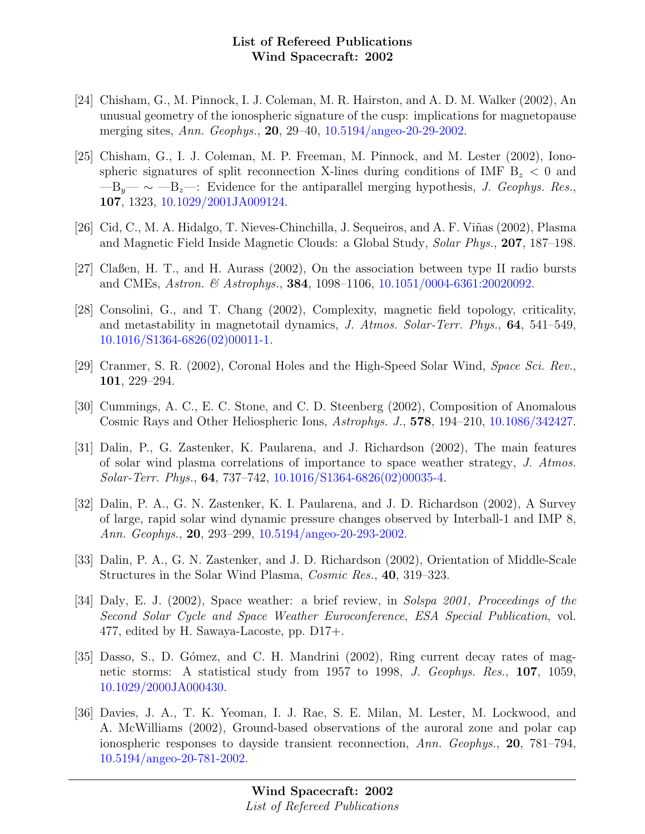- [24] Chisham, G., M. Pinnock, I. J. Coleman, M. R. Hairston, and A. D. M. Walker (2002), An unusual geometry of the ionospheric signature of the cusp: implications for magnetopause merging sites, Ann. Geophys., 20, 29–40, [10.5194/angeo-20-29-2002.](http://dx.doi.org/10.5194/angeo-20-29-2002)
- [25] Chisham, G., I. J. Coleman, M. P. Freeman, M. Pinnock, and M. Lester (2002), Ionospheric signatures of split reconnection X-lines during conditions of IMF  $B_z < 0$  and  $-B_{y} \sim -B_{z}$ : Evidence for the antiparallel merging hypothesis, *J. Geophys. Res.*, 107, 1323, [10.1029/2001JA009124.](http://dx.doi.org/10.1029/2001JA009124)
- [26] Cid, C., M. A. Hidalgo, T. Nieves-Chinchilla, J. Sequeiros, and A. F. Viñas (2002), Plasma and Magnetic Field Inside Magnetic Clouds: a Global Study, Solar Phys., 207, 187–198.
- [27] Claßen, H. T., and H. Aurass (2002), On the association between type II radio bursts and CMEs, *Astron.* & *Astrophys.*, **384**, 1098–1106, [10.1051/0004-6361:20020092.](http://dx.doi.org/10.1051/0004-6361:20020092)
- [28] Consolini, G., and T. Chang (2002), Complexity, magnetic field topology, criticality, and metastability in magnetotail dynamics, J. Atmos. Solar-Terr. Phys., 64, 541–549, [10.1016/S1364-6826\(02\)00011-1.](http://dx.doi.org/10.1016/S1364-6826(02)00011-1)
- [29] Cranmer, S. R. (2002), Coronal Holes and the High-Speed Solar Wind, Space Sci. Rev., 101, 229–294.
- [30] Cummings, A. C., E. C. Stone, and C. D. Steenberg (2002), Composition of Anomalous Cosmic Rays and Other Heliospheric Ions, Astrophys. J., 578, 194–210, [10.1086/342427.](http://dx.doi.org/10.1086/342427)
- [31] Dalin, P., G. Zastenker, K. Paularena, and J. Richardson (2002), The main features of solar wind plasma correlations of importance to space weather strategy, J. Atmos. Solar-Terr. Phys., 64, 737–742, [10.1016/S1364-6826\(02\)00035-4.](http://dx.doi.org/10.1016/S1364-6826(02)00035-4)
- [32] Dalin, P. A., G. N. Zastenker, K. I. Paularena, and J. D. Richardson (2002), A Survey of large, rapid solar wind dynamic pressure changes observed by Interball-1 and IMP 8, Ann. Geophys., 20, 293–299, [10.5194/angeo-20-293-2002.](http://dx.doi.org/10.5194/angeo-20-293-2002)
- [33] Dalin, P. A., G. N. Zastenker, and J. D. Richardson (2002), Orientation of Middle-Scale Structures in the Solar Wind Plasma, Cosmic Res., 40, 319–323.
- [34] Daly, E. J. (2002), Space weather: a brief review, in Solspa 2001, Proceedings of the Second Solar Cycle and Space Weather Euroconference, ESA Special Publication, vol. 477, edited by H. Sawaya-Lacoste, pp. D17+.
- [35] Dasso, S., D. Gómez, and C. H. Mandrini (2002), Ring current decay rates of magnetic storms: A statistical study from 1957 to 1998, J. Geophys. Res., 107, 1059, [10.1029/2000JA000430.](http://dx.doi.org/10.1029/2000JA000430)
- [36] Davies, J. A., T. K. Yeoman, I. J. Rae, S. E. Milan, M. Lester, M. Lockwood, and A. McWilliams (2002), Ground-based observations of the auroral zone and polar cap ionospheric responses to dayside transient reconnection, Ann. Geophys., 20, 781–794, [10.5194/angeo-20-781-2002.](http://dx.doi.org/10.5194/angeo-20-781-2002)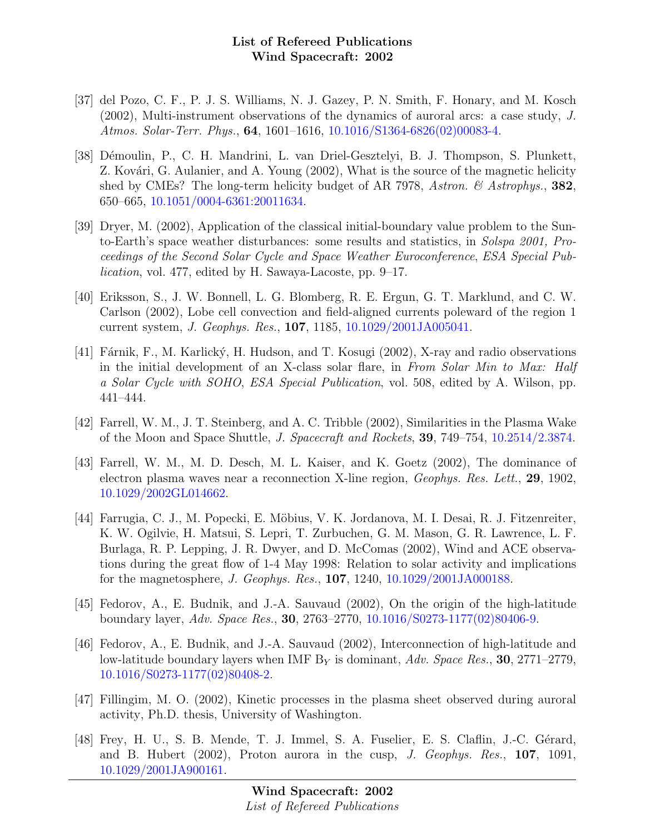- [37] del Pozo, C. F., P. J. S. Williams, N. J. Gazey, P. N. Smith, F. Honary, and M. Kosch (2002), Multi-instrument observations of the dynamics of auroral arcs: a case study, J. Atmos. Solar-Terr. Phys., 64, 1601–1616, [10.1016/S1364-6826\(02\)00083-4.](http://dx.doi.org/10.1016/S1364-6826(02)00083-4)
- [38] Démoulin, P., C. H. Mandrini, L. van Driel-Gesztelyi, B. J. Thompson, S. Plunkett, Z. Kovári, G. Aulanier, and A. Young (2002), What is the source of the magnetic helicity shed by CMEs? The long-term helicity budget of AR 7978, Astron.  $\mathcal{B}$  Astrophys., 382, 650–665, [10.1051/0004-6361:20011634.](http://dx.doi.org/10.1051/0004-6361:20011634)
- [39] Dryer, M. (2002), Application of the classical initial-boundary value problem to the Sunto-Earth's space weather disturbances: some results and statistics, in Solspa 2001, Proceedings of the Second Solar Cycle and Space Weather Euroconference, ESA Special Publication, vol. 477, edited by H. Sawaya-Lacoste, pp. 9–17.
- [40] Eriksson, S., J. W. Bonnell, L. G. Blomberg, R. E. Ergun, G. T. Marklund, and C. W. Carlson (2002), Lobe cell convection and field-aligned currents poleward of the region 1 current system, J. Geophys. Res., 107, 1185, [10.1029/2001JA005041.](http://dx.doi.org/10.1029/2001JA005041)
- [41] Fárnik, F., M. Karlický, H. Hudson, and T. Kosugi (2002), X-ray and radio observations in the initial development of an X-class solar flare, in From Solar Min to Max: Half a Solar Cycle with SOHO, ESA Special Publication, vol. 508, edited by A. Wilson, pp. 441–444.
- [42] Farrell, W. M., J. T. Steinberg, and A. C. Tribble (2002), Similarities in the Plasma Wake of the Moon and Space Shuttle, J. Spacecraft and Rockets, 39, 749–754, [10.2514/2.3874.](http://dx.doi.org/10.2514/2.3874)
- [43] Farrell, W. M., M. D. Desch, M. L. Kaiser, and K. Goetz (2002), The dominance of electron plasma waves near a reconnection X-line region, Geophys. Res. Lett., 29, 1902, [10.1029/2002GL014662.](http://dx.doi.org/10.1029/2002GL014662)
- [44] Farrugia, C. J., M. Popecki, E. Möbius, V. K. Jordanova, M. I. Desai, R. J. Fitzenreiter, K. W. Ogilvie, H. Matsui, S. Lepri, T. Zurbuchen, G. M. Mason, G. R. Lawrence, L. F. Burlaga, R. P. Lepping, J. R. Dwyer, and D. McComas (2002), Wind and ACE observations during the great flow of 1-4 May 1998: Relation to solar activity and implications for the magnetosphere, J. Geophys. Res., 107, 1240, [10.1029/2001JA000188.](http://dx.doi.org/10.1029/2001JA000188)
- [45] Fedorov, A., E. Budnik, and J.-A. Sauvaud (2002), On the origin of the high-latitude boundary layer, Adv. Space Res., 30, 2763–2770, [10.1016/S0273-1177\(02\)80406-9.](http://dx.doi.org/10.1016/S0273-1177(02)80406-9)
- [46] Fedorov, A., E. Budnik, and J.-A. Sauvaud (2002), Interconnection of high-latitude and low-latitude boundary layers when IMF  $B<sub>Y</sub>$  is dominant, Adv. Space Res., 30, 2771–2779, [10.1016/S0273-1177\(02\)80408-2.](http://dx.doi.org/10.1016/S0273-1177(02)80408-2)
- [47] Fillingim, M. O. (2002), Kinetic processes in the plasma sheet observed during auroral activity, Ph.D. thesis, University of Washington.
- [48] Frey, H. U., S. B. Mende, T. J. Immel, S. A. Fuselier, E. S. Claflin, J.-C. Gérard, and B. Hubert  $(2002)$ , Proton aurora in the cusp, J. Geophys. Res., **107**, 1091, [10.1029/2001JA900161.](http://dx.doi.org/10.1029/2001JA900161)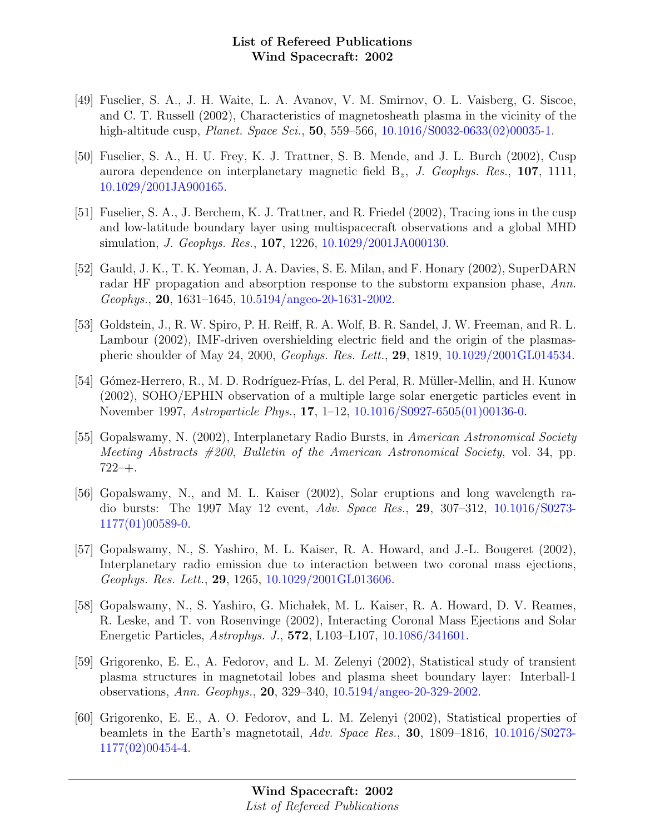- [49] Fuselier, S. A., J. H. Waite, L. A. Avanov, V. M. Smirnov, O. L. Vaisberg, G. Siscoe, and C. T. Russell (2002), Characteristics of magnetosheath plasma in the vicinity of the high-altitude cusp, *Planet. Space Sci.*, **50**, 559–566, [10.1016/S0032-0633\(02\)00035-1.](http://dx.doi.org/10.1016/S0032-0633(02)00035-1)
- [50] Fuselier, S. A., H. U. Frey, K. J. Trattner, S. B. Mende, and J. L. Burch (2002), Cusp aurora dependence on interplanetary magnetic field  $B_z$ , J. Geophys. Res., 107, 1111, [10.1029/2001JA900165.](http://dx.doi.org/10.1029/2001JA900165)
- [51] Fuselier, S. A., J. Berchem, K. J. Trattner, and R. Friedel (2002), Tracing ions in the cusp and low-latitude boundary layer using multispacecraft observations and a global MHD simulation, J. Geophys. Res., 107, 1226, [10.1029/2001JA000130.](http://dx.doi.org/10.1029/2001JA000130)
- [52] Gauld, J. K., T. K. Yeoman, J. A. Davies, S. E. Milan, and F. Honary (2002), SuperDARN radar HF propagation and absorption response to the substorm expansion phase, Ann. Geophys., 20, 1631–1645, [10.5194/angeo-20-1631-2002.](http://dx.doi.org/10.5194/angeo-20-1631-2002)
- [53] Goldstein, J., R. W. Spiro, P. H. Reiff, R. A. Wolf, B. R. Sandel, J. W. Freeman, and R. L. Lambour (2002), IMF-driven overshielding electric field and the origin of the plasmaspheric shoulder of May 24, 2000, Geophys. Res. Lett., 29, 1819, [10.1029/2001GL014534.](http://dx.doi.org/10.1029/2001GL014534)
- [54] Gómez-Herrero, R., M. D. Rodríguez-Frías, L. del Peral, R. Müller-Mellin, and H. Kunow (2002), SOHO/EPHIN observation of a multiple large solar energetic particles event in November 1997, Astroparticle Phys., 17, 1–12, [10.1016/S0927-6505\(01\)00136-0.](http://dx.doi.org/10.1016/S0927-6505(01)00136-0)
- [55] Gopalswamy, N. (2002), Interplanetary Radio Bursts, in American Astronomical Society Meeting Abstracts  $\#200$ , Bulletin of the American Astronomical Society, vol. 34, pp. 722–+.
- [56] Gopalswamy, N., and M. L. Kaiser (2002), Solar eruptions and long wavelength radio bursts: The 1997 May 12 event, Adv. Space Res., 29, 307–312, [10.1016/S0273-](http://dx.doi.org/10.1016/S0273-1177(01)00589-0) [1177\(01\)00589-0.](http://dx.doi.org/10.1016/S0273-1177(01)00589-0)
- [57] Gopalswamy, N., S. Yashiro, M. L. Kaiser, R. A. Howard, and J.-L. Bougeret (2002), Interplanetary radio emission due to interaction between two coronal mass ejections, Geophys. Res. Lett., 29, 1265, [10.1029/2001GL013606.](http://dx.doi.org/10.1029/2001GL013606)
- [58] Gopalswamy, N., S. Yashiro, G. Michałek, M. L. Kaiser, R. A. Howard, D. V. Reames, R. Leske, and T. von Rosenvinge (2002), Interacting Coronal Mass Ejections and Solar Energetic Particles, Astrophys. J., 572, L103–L107, [10.1086/341601.](http://dx.doi.org/10.1086/341601)
- [59] Grigorenko, E. E., A. Fedorov, and L. M. Zelenyi (2002), Statistical study of transient plasma structures in magnetotail lobes and plasma sheet boundary layer: Interball-1 observations, Ann. Geophys., 20, 329–340, [10.5194/angeo-20-329-2002.](http://dx.doi.org/10.5194/angeo-20-329-2002)
- [60] Grigorenko, E. E., A. O. Fedorov, and L. M. Zelenyi (2002), Statistical properties of beamlets in the Earth's magnetotail, Adv. Space Res., 30, 1809–1816, [10.1016/S0273-](http://dx.doi.org/10.1016/S0273-1177(02)00454-4) [1177\(02\)00454-4.](http://dx.doi.org/10.1016/S0273-1177(02)00454-4)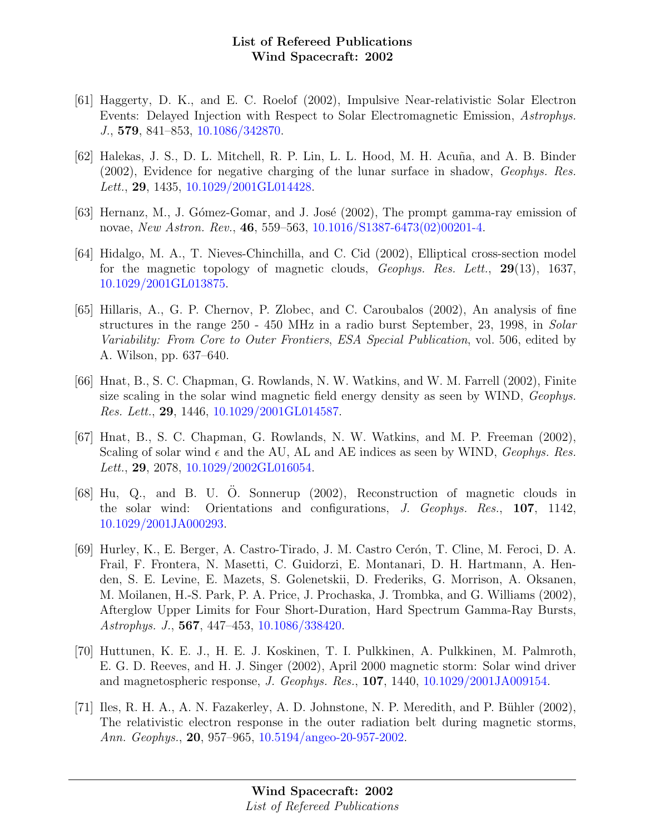- [61] Haggerty, D. K., and E. C. Roelof (2002), Impulsive Near-relativistic Solar Electron Events: Delayed Injection with Respect to Solar Electromagnetic Emission, Astrophys. J., 579, 841–853, [10.1086/342870.](http://dx.doi.org/10.1086/342870)
- [62] Halekas, J. S., D. L. Mitchell, R. P. Lin, L. L. Hood, M. H. Acuña, and A. B. Binder (2002), Evidence for negative charging of the lunar surface in shadow, Geophys. Res. Lett., 29, 1435, [10.1029/2001GL014428.](http://dx.doi.org/10.1029/2001GL014428)
- $[63]$  Hernanz, M., J. Gómez-Gomar, and J. José  $(2002)$ , The prompt gamma-ray emission of novae, New Astron. Rev., 46, 559–563, [10.1016/S1387-6473\(02\)00201-4.](http://dx.doi.org/10.1016/S1387-6473(02)00201-4)
- [64] Hidalgo, M. A., T. Nieves-Chinchilla, and C. Cid (2002), Elliptical cross-section model for the magnetic topology of magnetic clouds, Geophys. Res. Lett., 29(13), 1637, [10.1029/2001GL013875.](http://dx.doi.org/10.1029/2001GL013875)
- [65] Hillaris, A., G. P. Chernov, P. Zlobec, and C. Caroubalos (2002), An analysis of fine structures in the range 250 - 450 MHz in a radio burst September, 23, 1998, in Solar Variability: From Core to Outer Frontiers, ESA Special Publication, vol. 506, edited by A. Wilson, pp. 637–640.
- [66] Hnat, B., S. C. Chapman, G. Rowlands, N. W. Watkins, and W. M. Farrell (2002), Finite size scaling in the solar wind magnetic field energy density as seen by WIND, *Geophys*. Res. Lett., 29, 1446, [10.1029/2001GL014587.](http://dx.doi.org/10.1029/2001GL014587)
- [67] Hnat, B., S. C. Chapman, G. Rowlands, N. W. Watkins, and M. P. Freeman (2002), Scaling of solar wind  $\epsilon$  and the AU, AL and AE indices as seen by WIND, *Geophys. Res.* Lett., **29**, 2078, [10.1029/2002GL016054.](http://dx.doi.org/10.1029/2002GL016054)
- $[68]$  Hu, Q., and B. U. O. Sonnerup  $(2002)$ , Reconstruction of magnetic clouds in the solar wind: Orientations and configurations, J. Geophys. Res., 107, 1142, [10.1029/2001JA000293.](http://dx.doi.org/10.1029/2001JA000293)
- [69] Hurley, K., E. Berger, A. Castro-Tirado, J. M. Castro Cerón, T. Cline, M. Feroci, D. A. Frail, F. Frontera, N. Masetti, C. Guidorzi, E. Montanari, D. H. Hartmann, A. Henden, S. E. Levine, E. Mazets, S. Golenetskii, D. Frederiks, G. Morrison, A. Oksanen, M. Moilanen, H.-S. Park, P. A. Price, J. Prochaska, J. Trombka, and G. Williams (2002), Afterglow Upper Limits for Four Short-Duration, Hard Spectrum Gamma-Ray Bursts, Astrophys. J., 567, 447–453, [10.1086/338420.](http://dx.doi.org/10.1086/338420)
- [70] Huttunen, K. E. J., H. E. J. Koskinen, T. I. Pulkkinen, A. Pulkkinen, M. Palmroth, E. G. D. Reeves, and H. J. Singer (2002), April 2000 magnetic storm: Solar wind driver and magnetospheric response, J. Geophys. Res., 107, 1440, [10.1029/2001JA009154.](http://dx.doi.org/10.1029/2001JA009154)
- [71] Iles, R. H. A., A. N. Fazakerley, A. D. Johnstone, N. P. Meredith, and P. B¨uhler (2002), The relativistic electron response in the outer radiation belt during magnetic storms, Ann. Geophys., 20, 957–965, [10.5194/angeo-20-957-2002.](http://dx.doi.org/10.5194/angeo-20-957-2002)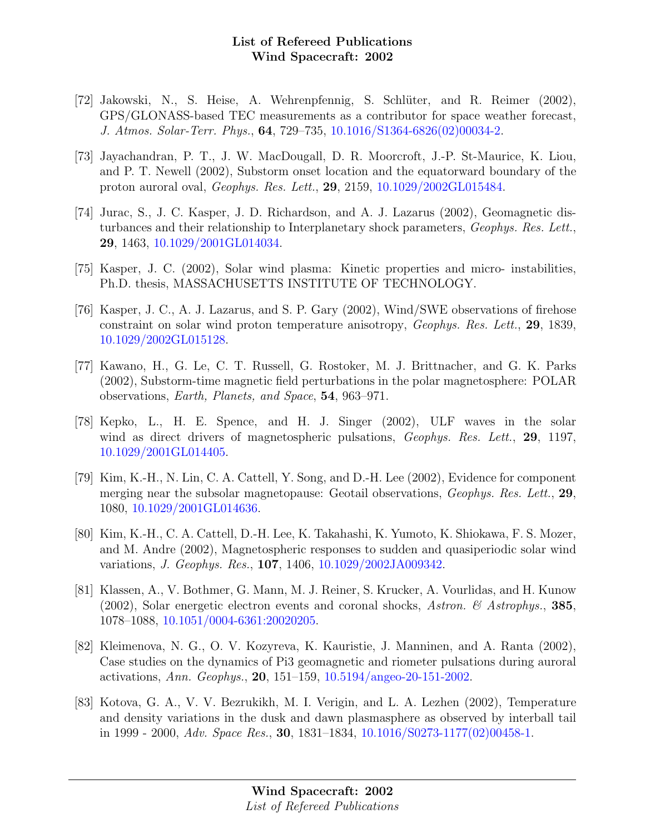- [72] Jakowski, N., S. Heise, A. Wehrenpfennig, S. Schlüter, and R. Reimer (2002), GPS/GLONASS-based TEC measurements as a contributor for space weather forecast, J. Atmos. Solar-Terr. Phys., 64, 729–735, [10.1016/S1364-6826\(02\)00034-2.](http://dx.doi.org/10.1016/S1364-6826(02)00034-2)
- [73] Jayachandran, P. T., J. W. MacDougall, D. R. Moorcroft, J.-P. St-Maurice, K. Liou, and P. T. Newell (2002), Substorm onset location and the equatorward boundary of the proton auroral oval, Geophys. Res. Lett., 29, 2159, [10.1029/2002GL015484.](http://dx.doi.org/10.1029/2002GL015484)
- [74] Jurac, S., J. C. Kasper, J. D. Richardson, and A. J. Lazarus (2002), Geomagnetic disturbances and their relationship to Interplanetary shock parameters, Geophys. Res. Lett., 29, 1463, [10.1029/2001GL014034.](http://dx.doi.org/10.1029/2001GL014034)
- [75] Kasper, J. C. (2002), Solar wind plasma: Kinetic properties and micro- instabilities, Ph.D. thesis, MASSACHUSETTS INSTITUTE OF TECHNOLOGY.
- [76] Kasper, J. C., A. J. Lazarus, and S. P. Gary (2002), Wind/SWE observations of firehose constraint on solar wind proton temperature anisotropy, Geophys. Res. Lett., 29, 1839, [10.1029/2002GL015128.](http://dx.doi.org/10.1029/2002GL015128)
- [77] Kawano, H., G. Le, C. T. Russell, G. Rostoker, M. J. Brittnacher, and G. K. Parks (2002), Substorm-time magnetic field perturbations in the polar magnetosphere: POLAR observations, Earth, Planets, and Space, 54, 963–971.
- [78] Kepko, L., H. E. Spence, and H. J. Singer (2002), ULF waves in the solar wind as direct drivers of magnetospheric pulsations, *Geophys. Res. Lett.*, 29, 1197, [10.1029/2001GL014405.](http://dx.doi.org/10.1029/2001GL014405)
- [79] Kim, K.-H., N. Lin, C. A. Cattell, Y. Song, and D.-H. Lee (2002), Evidence for component merging near the subsolar magnetopause: Geotail observations, Geophys. Res. Lett., 29, 1080, [10.1029/2001GL014636.](http://dx.doi.org/10.1029/2001GL014636)
- [80] Kim, K.-H., C. A. Cattell, D.-H. Lee, K. Takahashi, K. Yumoto, K. Shiokawa, F. S. Mozer, and M. Andre (2002), Magnetospheric responses to sudden and quasiperiodic solar wind variations, J. Geophys. Res., 107, 1406, [10.1029/2002JA009342.](http://dx.doi.org/10.1029/2002JA009342)
- [81] Klassen, A., V. Bothmer, G. Mann, M. J. Reiner, S. Krucker, A. Vourlidas, and H. Kunow (2002), Solar energetic electron events and coronal shocks, Astron.  $\mathscr B$  Astrophys., 385, 1078–1088, [10.1051/0004-6361:20020205.](http://dx.doi.org/10.1051/0004-6361:20020205)
- [82] Kleimenova, N. G., O. V. Kozyreva, K. Kauristie, J. Manninen, and A. Ranta (2002), Case studies on the dynamics of Pi3 geomagnetic and riometer pulsations during auroral activations, Ann. Geophys., 20, 151–159, [10.5194/angeo-20-151-2002.](http://dx.doi.org/10.5194/angeo-20-151-2002)
- [83] Kotova, G. A., V. V. Bezrukikh, M. I. Verigin, and L. A. Lezhen (2002), Temperature and density variations in the dusk and dawn plasmasphere as observed by interball tail in 1999 - 2000, Adv. Space Res., **30**, 1831–1834, [10.1016/S0273-1177\(02\)00458-1.](http://dx.doi.org/10.1016/S0273-1177(02)00458-1)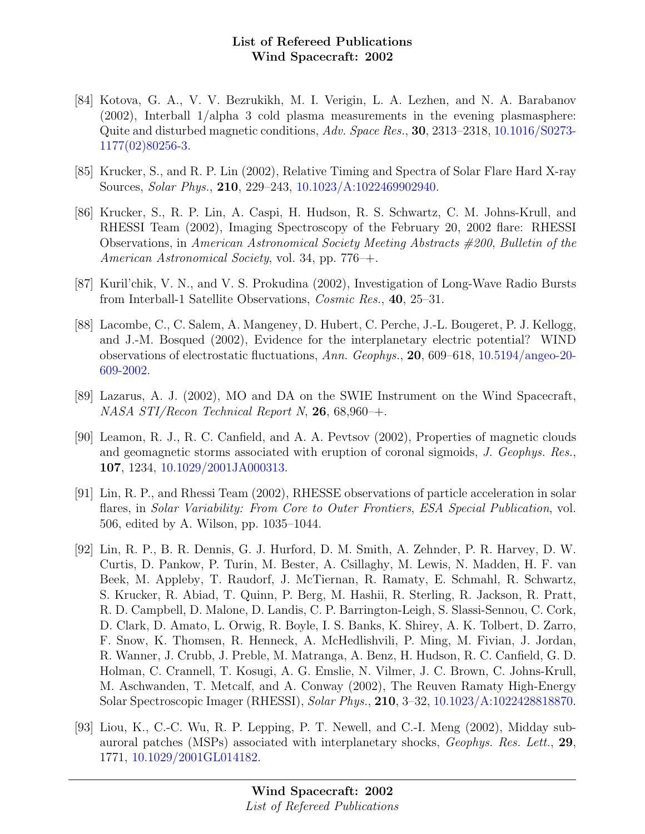- [84] Kotova, G. A., V. V. Bezrukikh, M. I. Verigin, L. A. Lezhen, and N. A. Barabanov (2002), Interball 1/alpha 3 cold plasma measurements in the evening plasmasphere: Quite and disturbed magnetic conditions, Adv. Space Res., 30, 2313–2318, [10.1016/S0273-](http://dx.doi.org/10.1016/S0273-1177(02)80256-3) [1177\(02\)80256-3.](http://dx.doi.org/10.1016/S0273-1177(02)80256-3)
- [85] Krucker, S., and R. P. Lin (2002), Relative Timing and Spectra of Solar Flare Hard X-ray Sources, Solar Phys., 210, 229–243, [10.1023/A:1022469902940.](http://dx.doi.org/10.1023/A:1022469902940)
- [86] Krucker, S., R. P. Lin, A. Caspi, H. Hudson, R. S. Schwartz, C. M. Johns-Krull, and RHESSI Team (2002), Imaging Spectroscopy of the February 20, 2002 flare: RHESSI Observations, in American Astronomical Society Meeting Abstracts #200, Bulletin of the American Astronomical Society, vol. 34, pp. 776–+.
- [87] Kuril'chik, V. N., and V. S. Prokudina (2002), Investigation of Long-Wave Radio Bursts from Interball-1 Satellite Observations, Cosmic Res., 40, 25–31.
- [88] Lacombe, C., C. Salem, A. Mangeney, D. Hubert, C. Perche, J.-L. Bougeret, P. J. Kellogg, and J.-M. Bosqued (2002), Evidence for the interplanetary electric potential? WIND observations of electrostatic fluctuations, Ann. Geophys., 20, 609–618, [10.5194/angeo-20-](http://dx.doi.org/10.5194/angeo-20-609-2002) [609-2002.](http://dx.doi.org/10.5194/angeo-20-609-2002)
- [89] Lazarus, A. J. (2002), MO and DA on the SWIE Instrument on the Wind Spacecraft, NASA STI/Recon Technical Report N, 26, 68,960-+.
- [90] Leamon, R. J., R. C. Canfield, and A. A. Pevtsov (2002), Properties of magnetic clouds and geomagnetic storms associated with eruption of coronal sigmoids, J. Geophys. Res., 107, 1234, [10.1029/2001JA000313.](http://dx.doi.org/10.1029/2001JA000313)
- [91] Lin, R. P., and Rhessi Team (2002), RHESSE observations of particle acceleration in solar flares, in Solar Variability: From Core to Outer Frontiers, ESA Special Publication, vol. 506, edited by A. Wilson, pp. 1035–1044.
- [92] Lin, R. P., B. R. Dennis, G. J. Hurford, D. M. Smith, A. Zehnder, P. R. Harvey, D. W. Curtis, D. Pankow, P. Turin, M. Bester, A. Csillaghy, M. Lewis, N. Madden, H. F. van Beek, M. Appleby, T. Raudorf, J. McTiernan, R. Ramaty, E. Schmahl, R. Schwartz, S. Krucker, R. Abiad, T. Quinn, P. Berg, M. Hashii, R. Sterling, R. Jackson, R. Pratt, R. D. Campbell, D. Malone, D. Landis, C. P. Barrington-Leigh, S. Slassi-Sennou, C. Cork, D. Clark, D. Amato, L. Orwig, R. Boyle, I. S. Banks, K. Shirey, A. K. Tolbert, D. Zarro, F. Snow, K. Thomsen, R. Henneck, A. McHedlishvili, P. Ming, M. Fivian, J. Jordan, R. Wanner, J. Crubb, J. Preble, M. Matranga, A. Benz, H. Hudson, R. C. Canfield, G. D. Holman, C. Crannell, T. Kosugi, A. G. Emslie, N. Vilmer, J. C. Brown, C. Johns-Krull, M. Aschwanden, T. Metcalf, and A. Conway (2002), The Reuven Ramaty High-Energy Solar Spectroscopic Imager (RHESSI), Solar Phys., 210, 3–32, [10.1023/A:1022428818870.](http://dx.doi.org/10.1023/A:1022428818870)
- [93] Liou, K., C.-C. Wu, R. P. Lepping, P. T. Newell, and C.-I. Meng (2002), Midday subauroral patches (MSPs) associated with interplanetary shocks, Geophys. Res. Lett., 29, 1771, [10.1029/2001GL014182.](http://dx.doi.org/10.1029/2001GL014182)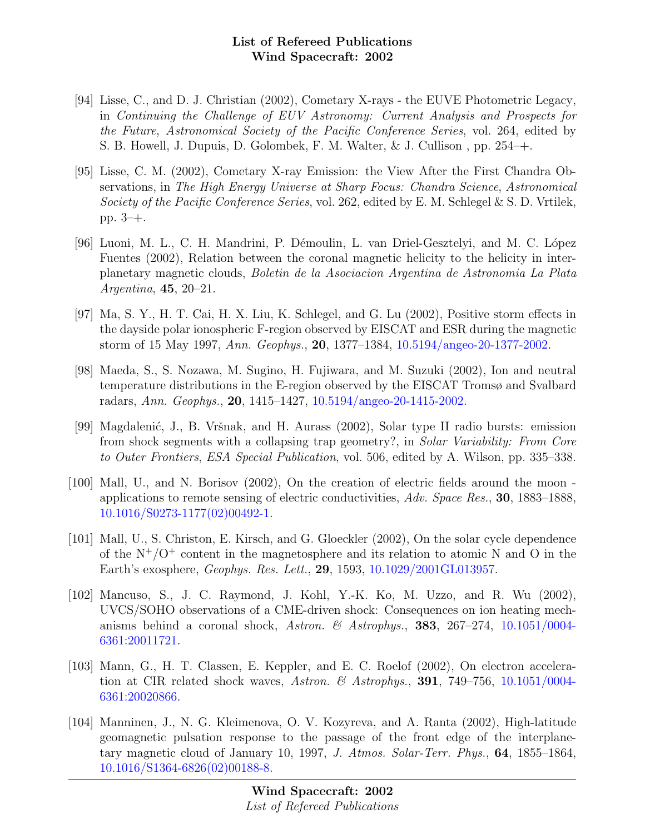- [94] Lisse, C., and D. J. Christian (2002), Cometary X-rays the EUVE Photometric Legacy, in Continuing the Challenge of EUV Astronomy: Current Analysis and Prospects for the Future, Astronomical Society of the Pacific Conference Series, vol. 264, edited by S. B. Howell, J. Dupuis, D. Golombek, F. M. Walter, & J. Cullison , pp. 254–+.
- [95] Lisse, C. M. (2002), Cometary X-ray Emission: the View After the First Chandra Observations, in The High Energy Universe at Sharp Focus: Chandra Science, Astronomical Society of the Pacific Conference Series, vol. 262, edited by E. M. Schlegel & S. D. Vrtilek, pp. 3–+.
- [96] Luoni, M. L., C. H. Mandrini, P. Démoulin, L. van Driel-Gesztelyi, and M. C. López Fuentes (2002), Relation between the coronal magnetic helicity to the helicity in interplanetary magnetic clouds, Boletin de la Asociacion Argentina de Astronomia La Plata Argentina, 45, 20–21.
- [97] Ma, S. Y., H. T. Cai, H. X. Liu, K. Schlegel, and G. Lu (2002), Positive storm effects in the dayside polar ionospheric F-region observed by EISCAT and ESR during the magnetic storm of 15 May 1997, Ann. Geophys., 20, 1377–1384, [10.5194/angeo-20-1377-2002.](http://dx.doi.org/10.5194/angeo-20-1377-2002)
- [98] Maeda, S., S. Nozawa, M. Sugino, H. Fujiwara, and M. Suzuki (2002), Ion and neutral temperature distributions in the E-region observed by the EISCAT Tromsø and Svalbard radars, Ann. Geophys., 20, 1415–1427, [10.5194/angeo-20-1415-2002.](http://dx.doi.org/10.5194/angeo-20-1415-2002)
- [99] Magdalenić, J., B. Vršnak, and H. Aurass (2002), Solar type II radio bursts: emission from shock segments with a collapsing trap geometry?, in Solar Variability: From Core to Outer Frontiers, ESA Special Publication, vol. 506, edited by A. Wilson, pp. 335–338.
- [100] Mall, U., and N. Borisov (2002), On the creation of electric fields around the moon applications to remote sensing of electric conductivities, Adv. Space Res., 30, 1883–1888, [10.1016/S0273-1177\(02\)00492-1.](http://dx.doi.org/10.1016/S0273-1177(02)00492-1)
- [101] Mall, U., S. Christon, E. Kirsch, and G. Gloeckler (2002), On the solar cycle dependence of the  $N^+/O^+$  content in the magnetosphere and its relation to atomic N and O in the Earth's exosphere, Geophys. Res. Lett., 29, 1593, [10.1029/2001GL013957.](http://dx.doi.org/10.1029/2001GL013957)
- [102] Mancuso, S., J. C. Raymond, J. Kohl, Y.-K. Ko, M. Uzzo, and R. Wu (2002), UVCS/SOHO observations of a CME-driven shock: Consequences on ion heating mechanisms behind a coronal shock, Astron. & Astrophys., 383, 267–274,  $10.1051/0004$ -[6361:20011721.](http://dx.doi.org/10.1051/0004-6361:20011721)
- [103] Mann, G., H. T. Classen, E. Keppler, and E. C. Roelof (2002), On electron acceleration at CIR related shock waves, Astron. & Astrophys., **391**, 749–756, [10.1051/0004-](http://dx.doi.org/10.1051/0004-6361:20020866) [6361:20020866.](http://dx.doi.org/10.1051/0004-6361:20020866)
- [104] Manninen, J., N. G. Kleimenova, O. V. Kozyreva, and A. Ranta (2002), High-latitude geomagnetic pulsation response to the passage of the front edge of the interplanetary magnetic cloud of January 10, 1997, J. Atmos. Solar-Terr. Phys., 64, 1855–1864, [10.1016/S1364-6826\(02\)00188-8.](http://dx.doi.org/10.1016/S1364-6826(02)00188-8)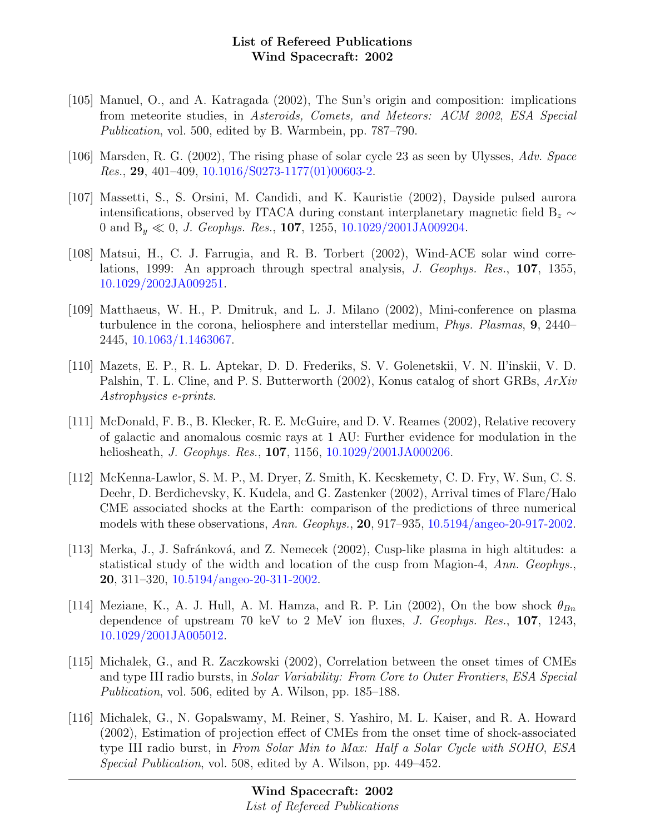- [105] Manuel, O., and A. Katragada (2002), The Sun's origin and composition: implications from meteorite studies, in Asteroids, Comets, and Meteors: ACM 2002, ESA Special Publication, vol. 500, edited by B. Warmbein, pp. 787–790.
- [106] Marsden, R. G. (2002), The rising phase of solar cycle 23 as seen by Ulysses, Adv. Space Res., 29, 401–409, [10.1016/S0273-1177\(01\)00603-2.](http://dx.doi.org/10.1016/S0273-1177(01)00603-2)
- [107] Massetti, S., S. Orsini, M. Candidi, and K. Kauristie (2002), Dayside pulsed aurora intensifications, observed by ITACA during constant interplanetary magnetic field B<sub>z</sub>  $\sim$ 0 and  $B_y \ll 0$ , *J. Geophys. Res.*, **107**, 1255, [10.1029/2001JA009204.](http://dx.doi.org/10.1029/2001JA009204)
- [108] Matsui, H., C. J. Farrugia, and R. B. Torbert (2002), Wind-ACE solar wind correlations, 1999: An approach through spectral analysis, J. Geophys. Res., 107, 1355, [10.1029/2002JA009251.](http://dx.doi.org/10.1029/2002JA009251)
- [109] Matthaeus, W. H., P. Dmitruk, and L. J. Milano (2002), Mini-conference on plasma turbulence in the corona, heliosphere and interstellar medium, Phys. Plasmas, 9, 2440– 2445, [10.1063/1.1463067.](http://dx.doi.org/10.1063/1.1463067)
- [110] Mazets, E. P., R. L. Aptekar, D. D. Frederiks, S. V. Golenetskii, V. N. Il'inskii, V. D. Palshin, T. L. Cline, and P. S. Butterworth (2002), Konus catalog of short GRBs, ArXiv Astrophysics e-prints.
- [111] McDonald, F. B., B. Klecker, R. E. McGuire, and D. V. Reames (2002), Relative recovery of galactic and anomalous cosmic rays at 1 AU: Further evidence for modulation in the heliosheath, *J. Geophys. Res.*, **107**, 1156, [10.1029/2001JA000206.](http://dx.doi.org/10.1029/2001JA000206)
- [112] McKenna-Lawlor, S. M. P., M. Dryer, Z. Smith, K. Kecskemety, C. D. Fry, W. Sun, C. S. Deehr, D. Berdichevsky, K. Kudela, and G. Zastenker (2002), Arrival times of Flare/Halo CME associated shocks at the Earth: comparison of the predictions of three numerical models with these observations, Ann. Geophys., 20, 917–935, [10.5194/angeo-20-917-2002.](http://dx.doi.org/10.5194/angeo-20-917-2002)
- [113] Merka, J., J. Safránková, and Z. Nemecek (2002), Cusp-like plasma in high altitudes: a statistical study of the width and location of the cusp from Magion-4, Ann. Geophys., 20, 311–320, [10.5194/angeo-20-311-2002.](http://dx.doi.org/10.5194/angeo-20-311-2002)
- [114] Meziane, K., A. J. Hull, A. M. Hamza, and R. P. Lin (2002), On the bow shock  $\theta_{Bn}$ dependence of upstream 70 keV to 2 MeV ion fluxes, J. Geophys. Res., 107, 1243, [10.1029/2001JA005012.](http://dx.doi.org/10.1029/2001JA005012)
- [115] Michalek, G., and R. Zaczkowski (2002), Correlation between the onset times of CMEs and type III radio bursts, in Solar Variability: From Core to Outer Frontiers, ESA Special Publication, vol. 506, edited by A. Wilson, pp. 185–188.
- [116] Michalek, G., N. Gopalswamy, M. Reiner, S. Yashiro, M. L. Kaiser, and R. A. Howard (2002), Estimation of projection effect of CMEs from the onset time of shock-associated type III radio burst, in From Solar Min to Max: Half a Solar Cycle with SOHO, ESA Special Publication, vol. 508, edited by A. Wilson, pp. 449–452.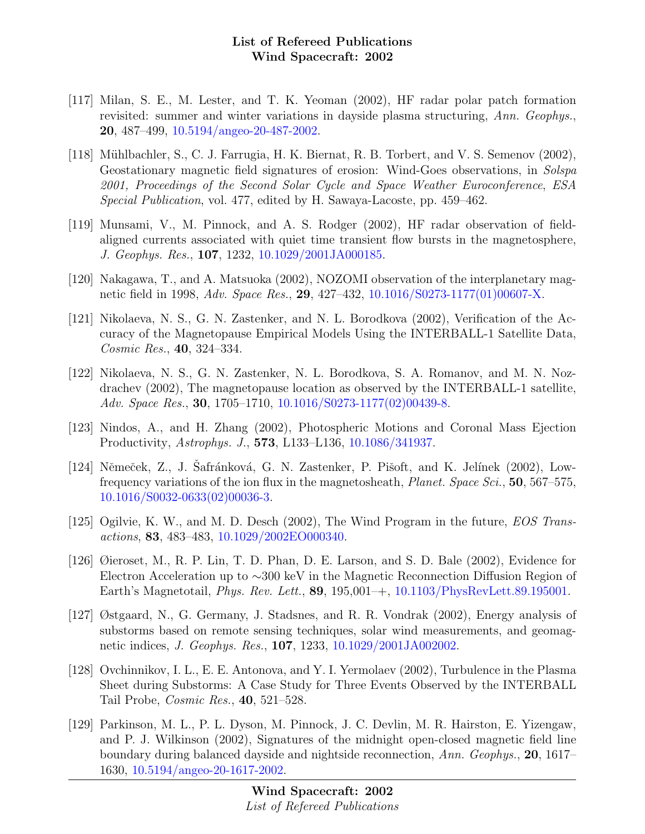- [117] Milan, S. E., M. Lester, and T. K. Yeoman (2002), HF radar polar patch formation revisited: summer and winter variations in dayside plasma structuring, Ann. Geophys., 20, 487–499, [10.5194/angeo-20-487-2002.](http://dx.doi.org/10.5194/angeo-20-487-2002)
- [118] Mühlbachler, S., C. J. Farrugia, H. K. Biernat, R. B. Torbert, and V. S. Semenov (2002), Geostationary magnetic field signatures of erosion: Wind-Goes observations, in Solspa 2001, Proceedings of the Second Solar Cycle and Space Weather Euroconference, ESA Special Publication, vol. 477, edited by H. Sawaya-Lacoste, pp. 459–462.
- [119] Munsami, V., M. Pinnock, and A. S. Rodger (2002), HF radar observation of fieldaligned currents associated with quiet time transient flow bursts in the magnetosphere, J. Geophys. Res., 107, 1232, [10.1029/2001JA000185.](http://dx.doi.org/10.1029/2001JA000185)
- [120] Nakagawa, T., and A. Matsuoka (2002), NOZOMI observation of the interplanetary mag-netic field in 1998, Adv. Space Res., 29, 427-432, [10.1016/S0273-1177\(01\)00607-X.](http://dx.doi.org/10.1016/S0273-1177(01)00607-X)
- [121] Nikolaeva, N. S., G. N. Zastenker, and N. L. Borodkova (2002), Verification of the Accuracy of the Magnetopause Empirical Models Using the INTERBALL-1 Satellite Data, Cosmic Res., 40, 324–334.
- [122] Nikolaeva, N. S., G. N. Zastenker, N. L. Borodkova, S. A. Romanov, and M. N. Nozdrachev (2002), The magnetopause location as observed by the INTERBALL-1 satellite, Adv. Space Res., 30, 1705–1710, [10.1016/S0273-1177\(02\)00439-8.](http://dx.doi.org/10.1016/S0273-1177(02)00439-8)
- [123] Nindos, A., and H. Zhang (2002), Photospheric Motions and Coronal Mass Ejection Productivity, Astrophys. J., 573, L133–L136, [10.1086/341937.](http://dx.doi.org/10.1086/341937)
- [124] Němeček, Z., J. Šafránková, G. N. Zastenker, P. Pišoft, and K. Jelínek (2002), Lowfrequency variations of the ion flux in the magnetosheath, Planet. Space Sci., 50, 567–575, [10.1016/S0032-0633\(02\)00036-3.](http://dx.doi.org/10.1016/S0032-0633(02)00036-3)
- [125] Ogilvie, K. W., and M. D. Desch (2002), The Wind Program in the future, *EOS Trans*actions, 83, 483–483, [10.1029/2002EO000340.](http://dx.doi.org/10.1029/2002EO000340)
- [126] Øieroset, M., R. P. Lin, T. D. Phan, D. E. Larson, and S. D. Bale (2002), Evidence for Electron Acceleration up to ∼300 keV in the Magnetic Reconnection Diffusion Region of Earth's Magnetotail, Phys. Rev. Lett., 89, 195,001–+, [10.1103/PhysRevLett.89.195001.](http://dx.doi.org/10.1103/PhysRevLett.89.195001)
- [127] Østgaard, N., G. Germany, J. Stadsnes, and R. R. Vondrak (2002), Energy analysis of substorms based on remote sensing techniques, solar wind measurements, and geomagnetic indices, J. Geophys. Res., 107, 1233, [10.1029/2001JA002002.](http://dx.doi.org/10.1029/2001JA002002)
- [128] Ovchinnikov, I. L., E. E. Antonova, and Y. I. Yermolaev (2002), Turbulence in the Plasma Sheet during Substorms: A Case Study for Three Events Observed by the INTERBALL Tail Probe, Cosmic Res., 40, 521–528.
- [129] Parkinson, M. L., P. L. Dyson, M. Pinnock, J. C. Devlin, M. R. Hairston, E. Yizengaw, and P. J. Wilkinson (2002), Signatures of the midnight open-closed magnetic field line boundary during balanced dayside and nightside reconnection, Ann. Geophys., 20, 1617– 1630, [10.5194/angeo-20-1617-2002.](http://dx.doi.org/10.5194/angeo-20-1617-2002)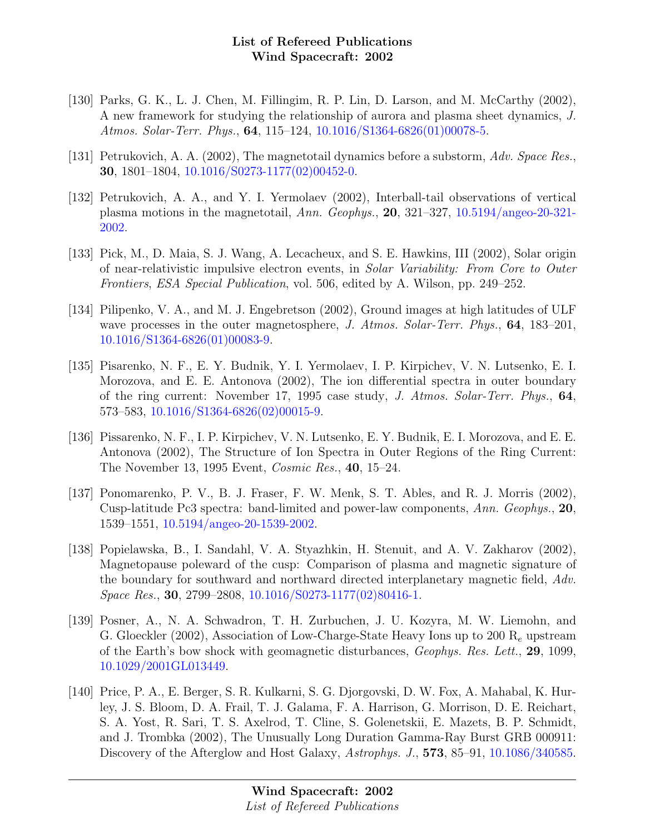- [130] Parks, G. K., L. J. Chen, M. Fillingim, R. P. Lin, D. Larson, and M. McCarthy (2002), A new framework for studying the relationship of aurora and plasma sheet dynamics, J. Atmos. Solar-Terr. Phys., **64**,  $115-124$ ,  $10.1016/S1364-6826(01)00078-5$ .
- [131] Petrukovich, A. A. (2002), The magnetotail dynamics before a substorm, Adv. Space Res., 30, 1801–1804, [10.1016/S0273-1177\(02\)00452-0.](http://dx.doi.org/10.1016/S0273-1177(02)00452-0)
- [132] Petrukovich, A. A., and Y. I. Yermolaev (2002), Interball-tail observations of vertical plasma motions in the magnetotail, Ann. Geophys., 20, 321–327, [10.5194/angeo-20-321-](http://dx.doi.org/10.5194/angeo-20-321-2002) [2002.](http://dx.doi.org/10.5194/angeo-20-321-2002)
- [133] Pick, M., D. Maia, S. J. Wang, A. Lecacheux, and S. E. Hawkins, III (2002), Solar origin of near-relativistic impulsive electron events, in Solar Variability: From Core to Outer Frontiers, ESA Special Publication, vol. 506, edited by A. Wilson, pp. 249–252.
- [134] Pilipenko, V. A., and M. J. Engebretson (2002), Ground images at high latitudes of ULF wave processes in the outer magnetosphere, J. Atmos. Solar-Terr. Phys., 64, 183–201, [10.1016/S1364-6826\(01\)00083-9.](http://dx.doi.org/10.1016/S1364-6826(01)00083-9)
- [135] Pisarenko, N. F., E. Y. Budnik, Y. I. Yermolaev, I. P. Kirpichev, V. N. Lutsenko, E. I. Morozova, and E. E. Antonova (2002), The ion differential spectra in outer boundary of the ring current: November 17, 1995 case study, J. Atmos. Solar-Terr. Phys., 64, 573–583, [10.1016/S1364-6826\(02\)00015-9.](http://dx.doi.org/10.1016/S1364-6826(02)00015-9)
- [136] Pissarenko, N. F., I. P. Kirpichev, V. N. Lutsenko, E. Y. Budnik, E. I. Morozova, and E. E. Antonova (2002), The Structure of Ion Spectra in Outer Regions of the Ring Current: The November 13, 1995 Event, Cosmic Res., 40, 15–24.
- [137] Ponomarenko, P. V., B. J. Fraser, F. W. Menk, S. T. Ables, and R. J. Morris (2002), Cusp-latitude Pc3 spectra: band-limited and power-law components, Ann. Geophys., 20, 1539–1551, [10.5194/angeo-20-1539-2002.](http://dx.doi.org/10.5194/angeo-20-1539-2002)
- [138] Popielawska, B., I. Sandahl, V. A. Styazhkin, H. Stenuit, and A. V. Zakharov (2002), Magnetopause poleward of the cusp: Comparison of plasma and magnetic signature of the boundary for southward and northward directed interplanetary magnetic field, Adv. Space Res., 30, 2799–2808, [10.1016/S0273-1177\(02\)80416-1.](http://dx.doi.org/10.1016/S0273-1177(02)80416-1)
- [139] Posner, A., N. A. Schwadron, T. H. Zurbuchen, J. U. Kozyra, M. W. Liemohn, and G. Gloeckler (2002), Association of Low-Charge-State Heavy Ions up to 200  $R_e$  upstream of the Earth's bow shock with geomagnetic disturbances, Geophys. Res. Lett., 29, 1099, [10.1029/2001GL013449.](http://dx.doi.org/10.1029/2001GL013449)
- [140] Price, P. A., E. Berger, S. R. Kulkarni, S. G. Djorgovski, D. W. Fox, A. Mahabal, K. Hurley, J. S. Bloom, D. A. Frail, T. J. Galama, F. A. Harrison, G. Morrison, D. E. Reichart, S. A. Yost, R. Sari, T. S. Axelrod, T. Cline, S. Golenetskii, E. Mazets, B. P. Schmidt, and J. Trombka (2002), The Unusually Long Duration Gamma-Ray Burst GRB 000911: Discovery of the Afterglow and Host Galaxy, Astrophys. J., **573**, 85–91, [10.1086/340585.](http://dx.doi.org/10.1086/340585)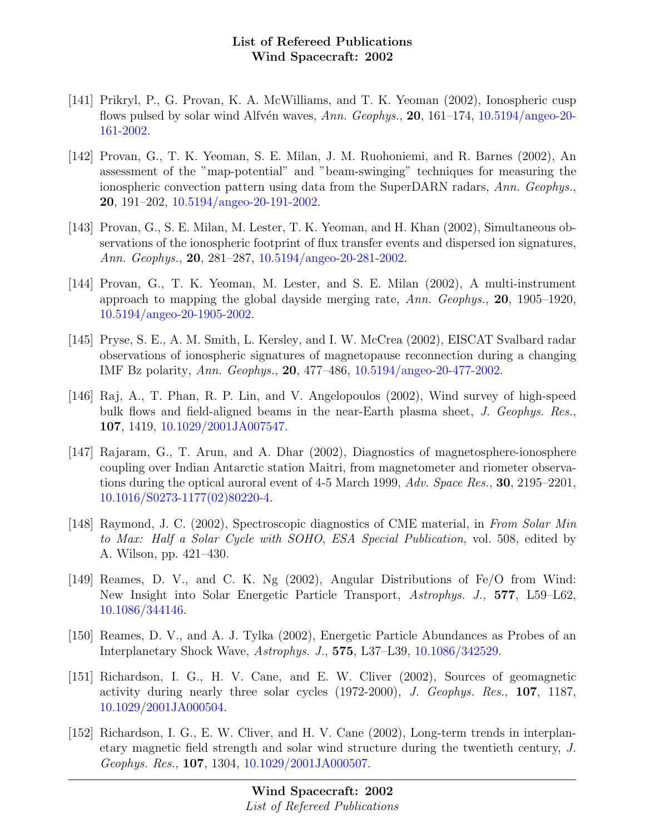- [141] Prikryl, P., G. Provan, K. A. McWilliams, and T. K. Yeoman (2002), Ionospheric cusp flows pulsed by solar wind Alfvén waves, Ann. Geophys.,  $20$ , 161–174, [10.5194/angeo-20-](http://dx.doi.org/10.5194/angeo-20-161-2002) [161-2002.](http://dx.doi.org/10.5194/angeo-20-161-2002)
- [142] Provan, G., T. K. Yeoman, S. E. Milan, J. M. Ruohoniemi, and R. Barnes (2002), An assessment of the "map-potential" and "beam-swinging" techniques for measuring the ionospheric convection pattern using data from the SuperDARN radars, Ann. Geophys., 20, 191–202, [10.5194/angeo-20-191-2002.](http://dx.doi.org/10.5194/angeo-20-191-2002)
- [143] Provan, G., S. E. Milan, M. Lester, T. K. Yeoman, and H. Khan (2002), Simultaneous observations of the ionospheric footprint of flux transfer events and dispersed ion signatures, Ann. Geophys., 20, 281–287, [10.5194/angeo-20-281-2002.](http://dx.doi.org/10.5194/angeo-20-281-2002)
- [144] Provan, G., T. K. Yeoman, M. Lester, and S. E. Milan (2002), A multi-instrument approach to mapping the global dayside merging rate,  $Ann. Geophys.$ , **20**, 1905–1920, [10.5194/angeo-20-1905-2002.](http://dx.doi.org/10.5194/angeo-20-1905-2002)
- [145] Pryse, S. E., A. M. Smith, L. Kersley, and I. W. McCrea (2002), EISCAT Svalbard radar observations of ionospheric signatures of magnetopause reconnection during a changing IMF Bz polarity, Ann. Geophys., 20, 477–486, [10.5194/angeo-20-477-2002.](http://dx.doi.org/10.5194/angeo-20-477-2002)
- [146] Raj, A., T. Phan, R. P. Lin, and V. Angelopoulos (2002), Wind survey of high-speed bulk flows and field-aligned beams in the near-Earth plasma sheet, J. Geophys. Res., 107, 1419, [10.1029/2001JA007547.](http://dx.doi.org/10.1029/2001JA007547)
- [147] Rajaram, G., T. Arun, and A. Dhar (2002), Diagnostics of magnetosphere-ionosphere coupling over Indian Antarctic station Maitri, from magnetometer and riometer observations during the optical auroral event of 4-5 March 1999, Adv. Space Res., 30, 2195–2201, [10.1016/S0273-1177\(02\)80220-4.](http://dx.doi.org/10.1016/S0273-1177(02)80220-4)
- [148] Raymond, J. C. (2002), Spectroscopic diagnostics of CME material, in From Solar Min to Max: Half a Solar Cycle with SOHO, ESA Special Publication, vol. 508, edited by A. Wilson, pp. 421–430.
- [149] Reames, D. V., and C. K. Ng (2002), Angular Distributions of Fe/O from Wind: New Insight into Solar Energetic Particle Transport, Astrophys. J., 577, L59–L62, [10.1086/344146.](http://dx.doi.org/10.1086/344146)
- [150] Reames, D. V., and A. J. Tylka (2002), Energetic Particle Abundances as Probes of an Interplanetary Shock Wave, Astrophys. J., 575, L37–L39, [10.1086/342529.](http://dx.doi.org/10.1086/342529)
- [151] Richardson, I. G., H. V. Cane, and E. W. Cliver (2002), Sources of geomagnetic activity during nearly three solar cycles (1972-2000), J. Geophys. Res., 107, 1187, [10.1029/2001JA000504.](http://dx.doi.org/10.1029/2001JA000504)
- [152] Richardson, I. G., E. W. Cliver, and H. V. Cane (2002), Long-term trends in interplanetary magnetic field strength and solar wind structure during the twentieth century, J. Geophys. Res., 107, 1304, [10.1029/2001JA000507.](http://dx.doi.org/10.1029/2001JA000507)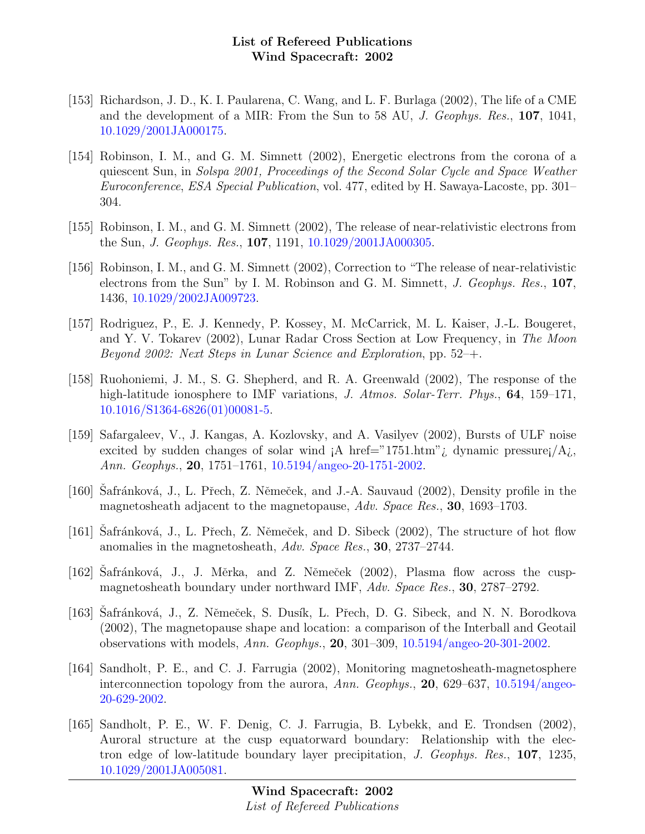- [153] Richardson, J. D., K. I. Paularena, C. Wang, and L. F. Burlaga (2002), The life of a CME and the development of a MIR: From the Sun to 58 AU, *J. Geophys. Res.*, **107**, 1041, [10.1029/2001JA000175.](http://dx.doi.org/10.1029/2001JA000175)
- [154] Robinson, I. M., and G. M. Simnett (2002), Energetic electrons from the corona of a quiescent Sun, in Solspa 2001, Proceedings of the Second Solar Cycle and Space Weather Euroconference, ESA Special Publication, vol. 477, edited by H. Sawaya-Lacoste, pp. 301– 304.
- [155] Robinson, I. M., and G. M. Simnett (2002), The release of near-relativistic electrons from the Sun, J. Geophys. Res., 107, 1191, [10.1029/2001JA000305.](http://dx.doi.org/10.1029/2001JA000305)
- [156] Robinson, I. M., and G. M. Simnett (2002), Correction to "The release of near-relativistic electrons from the Sun" by I. M. Robinson and G. M. Simnett, J. Geophys. Res., 107, 1436, [10.1029/2002JA009723.](http://dx.doi.org/10.1029/2002JA009723)
- [157] Rodriguez, P., E. J. Kennedy, P. Kossey, M. McCarrick, M. L. Kaiser, J.-L. Bougeret, and Y. V. Tokarev (2002), Lunar Radar Cross Section at Low Frequency, in The Moon Beyond 2002: Next Steps in Lunar Science and Exploration, pp. 52–+.
- [158] Ruohoniemi, J. M., S. G. Shepherd, and R. A. Greenwald (2002), The response of the high-latitude ionosphere to IMF variations, J. Atmos. Solar-Terr. Phys., **64**, 159–171, [10.1016/S1364-6826\(01\)00081-5.](http://dx.doi.org/10.1016/S1364-6826(01)00081-5)
- [159] Safargaleev, V., J. Kangas, A. Kozlovsky, and A. Vasilyev (2002), Bursts of ULF noise excited by sudden changes of solar wind  $A$  href="1751.htm"; dynamic pressure $A$ ; Ann. Geophys., 20, 1751–1761, [10.5194/angeo-20-1751-2002.](http://dx.doi.org/10.5194/angeo-20-1751-2002)
- [160] Safránková, J., L. Přech, Z. Němeček, and J.-A. Sauvaud (2002), Density profile in the magnetosheath adjacent to the magnetopause, Adv. Space Res., 30, 1693–1703.
- [161] Safránková, J., L. Přech, Z. Němeček, and D. Sibeck (2002), The structure of hot flow anomalies in the magnetosheath, Adv. Space Res., 30, 2737–2744.
- [162] Safránková, J., J. Měrka, and Z. Němeček (2002), Plasma flow across the cuspmagnetosheath boundary under northward IMF, Adv. Space Res., 30, 2787–2792.
- [163] Safránková, J., Z. Němeček, S. Dusík, L. Přech, D. G. Sibeck, and N. N. Borodkova (2002), The magnetopause shape and location: a comparison of the Interball and Geotail observations with models, Ann. Geophys., 20, 301–309, [10.5194/angeo-20-301-2002.](http://dx.doi.org/10.5194/angeo-20-301-2002)
- [164] Sandholt, P. E., and C. J. Farrugia (2002), Monitoring magnetosheath-magnetosphere interconnection topology from the aurora, Ann. Geophys., 20, 629–637, [10.5194/angeo-](http://dx.doi.org/10.5194/angeo-20-629-2002)[20-629-2002.](http://dx.doi.org/10.5194/angeo-20-629-2002)
- [165] Sandholt, P. E., W. F. Denig, C. J. Farrugia, B. Lybekk, and E. Trondsen (2002), Auroral structure at the cusp equatorward boundary: Relationship with the electron edge of low-latitude boundary layer precipitation, J. Geophys. Res., 107, 1235, [10.1029/2001JA005081.](http://dx.doi.org/10.1029/2001JA005081)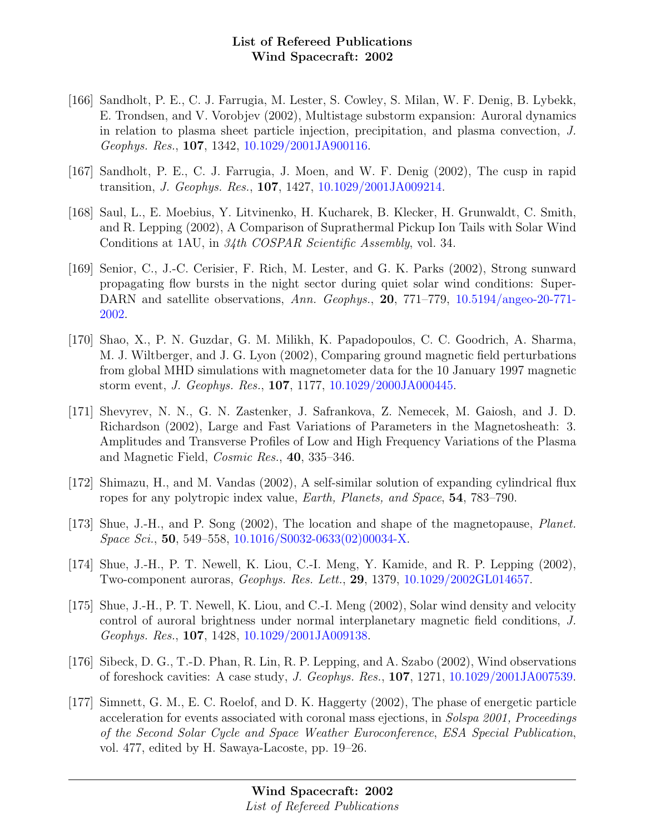- [166] Sandholt, P. E., C. J. Farrugia, M. Lester, S. Cowley, S. Milan, W. F. Denig, B. Lybekk, E. Trondsen, and V. Vorobjev (2002), Multistage substorm expansion: Auroral dynamics in relation to plasma sheet particle injection, precipitation, and plasma convection, J. Geophys. Res., 107, 1342, [10.1029/2001JA900116.](http://dx.doi.org/10.1029/2001JA900116)
- [167] Sandholt, P. E., C. J. Farrugia, J. Moen, and W. F. Denig (2002), The cusp in rapid transition, J. Geophys. Res., 107, 1427, [10.1029/2001JA009214.](http://dx.doi.org/10.1029/2001JA009214)
- [168] Saul, L., E. Moebius, Y. Litvinenko, H. Kucharek, B. Klecker, H. Grunwaldt, C. Smith, and R. Lepping (2002), A Comparison of Suprathermal Pickup Ion Tails with Solar Wind Conditions at 1AU, in 34th COSPAR Scientific Assembly, vol. 34.
- [169] Senior, C., J.-C. Cerisier, F. Rich, M. Lester, and G. K. Parks (2002), Strong sunward propagating flow bursts in the night sector during quiet solar wind conditions: Super-DARN and satellite observations, Ann. Geophys., 20, 771–779, [10.5194/angeo-20-771-](http://dx.doi.org/10.5194/angeo-20-771-2002) [2002.](http://dx.doi.org/10.5194/angeo-20-771-2002)
- [170] Shao, X., P. N. Guzdar, G. M. Milikh, K. Papadopoulos, C. C. Goodrich, A. Sharma, M. J. Wiltberger, and J. G. Lyon (2002), Comparing ground magnetic field perturbations from global MHD simulations with magnetometer data for the 10 January 1997 magnetic storm event, J. Geophys. Res., 107, 1177, [10.1029/2000JA000445.](http://dx.doi.org/10.1029/2000JA000445)
- [171] Shevyrev, N. N., G. N. Zastenker, J. Safrankova, Z. Nemecek, M. Gaiosh, and J. D. Richardson (2002), Large and Fast Variations of Parameters in the Magnetosheath: 3. Amplitudes and Transverse Profiles of Low and High Frequency Variations of the Plasma and Magnetic Field, Cosmic Res., 40, 335–346.
- [172] Shimazu, H., and M. Vandas (2002), A self-similar solution of expanding cylindrical flux ropes for any polytropic index value, Earth, Planets, and Space, 54, 783–790.
- [173] Shue, J.-H., and P. Song (2002), The location and shape of the magnetopause, Planet. Space Sci., 50, 549–558, [10.1016/S0032-0633\(02\)00034-X.](http://dx.doi.org/10.1016/S0032-0633(02)00034-X)
- [174] Shue, J.-H., P. T. Newell, K. Liou, C.-I. Meng, Y. Kamide, and R. P. Lepping (2002), Two-component auroras, Geophys. Res. Lett., 29, 1379, [10.1029/2002GL014657.](http://dx.doi.org/10.1029/2002GL014657)
- [175] Shue, J.-H., P. T. Newell, K. Liou, and C.-I. Meng (2002), Solar wind density and velocity control of auroral brightness under normal interplanetary magnetic field conditions, J. Geophys. Res., 107, 1428, [10.1029/2001JA009138.](http://dx.doi.org/10.1029/2001JA009138)
- [176] Sibeck, D. G., T.-D. Phan, R. Lin, R. P. Lepping, and A. Szabo (2002), Wind observations of foreshock cavities: A case study, J. Geophys. Res., 107, 1271, [10.1029/2001JA007539.](http://dx.doi.org/10.1029/2001JA007539)
- [177] Simnett, G. M., E. C. Roelof, and D. K. Haggerty (2002), The phase of energetic particle acceleration for events associated with coronal mass ejections, in Solspa 2001, Proceedings of the Second Solar Cycle and Space Weather Euroconference, ESA Special Publication, vol. 477, edited by H. Sawaya-Lacoste, pp. 19–26.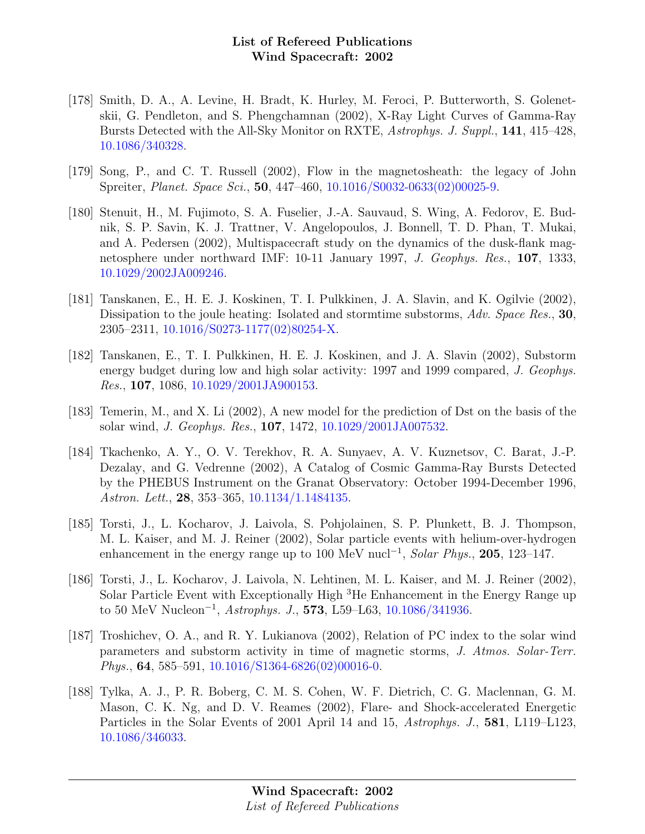- [178] Smith, D. A., A. Levine, H. Bradt, K. Hurley, M. Feroci, P. Butterworth, S. Golenetskii, G. Pendleton, and S. Phengchamnan (2002), X-Ray Light Curves of Gamma-Ray Bursts Detected with the All-Sky Monitor on RXTE, Astrophys. J. Suppl., 141, 415–428, [10.1086/340328.](http://dx.doi.org/10.1086/340328)
- [179] Song, P., and C. T. Russell (2002), Flow in the magnetosheath: the legacy of John Spreiter, Planet. Space Sci., 50, 447–460, [10.1016/S0032-0633\(02\)00025-9.](http://dx.doi.org/10.1016/S0032-0633(02)00025-9)
- [180] Stenuit, H., M. Fujimoto, S. A. Fuselier, J.-A. Sauvaud, S. Wing, A. Fedorov, E. Budnik, S. P. Savin, K. J. Trattner, V. Angelopoulos, J. Bonnell, T. D. Phan, T. Mukai, and A. Pedersen (2002), Multispacecraft study on the dynamics of the dusk-flank magnetosphere under northward IMF: 10-11 January 1997, J. Geophys. Res., 107, 1333, [10.1029/2002JA009246.](http://dx.doi.org/10.1029/2002JA009246)
- [181] Tanskanen, E., H. E. J. Koskinen, T. I. Pulkkinen, J. A. Slavin, and K. Ogilvie (2002), Dissipation to the joule heating: Isolated and stormtime substorms, Adv. Space Res., 30, 2305–2311, [10.1016/S0273-1177\(02\)80254-X.](http://dx.doi.org/10.1016/S0273-1177(02)80254-X)
- [182] Tanskanen, E., T. I. Pulkkinen, H. E. J. Koskinen, and J. A. Slavin (2002), Substorm energy budget during low and high solar activity: 1997 and 1999 compared, J. Geophys. Res., 107, 1086, [10.1029/2001JA900153.](http://dx.doi.org/10.1029/2001JA900153)
- [183] Temerin, M., and X. Li (2002), A new model for the prediction of Dst on the basis of the solar wind, J. Geophys. Res., 107, 1472, [10.1029/2001JA007532.](http://dx.doi.org/10.1029/2001JA007532)
- [184] Tkachenko, A. Y., O. V. Terekhov, R. A. Sunyaev, A. V. Kuznetsov, C. Barat, J.-P. Dezalay, and G. Vedrenne (2002), A Catalog of Cosmic Gamma-Ray Bursts Detected by the PHEBUS Instrument on the Granat Observatory: October 1994-December 1996, Astron. Lett., 28, 353–365, [10.1134/1.1484135.](http://dx.doi.org/10.1134/1.1484135)
- [185] Torsti, J., L. Kocharov, J. Laivola, S. Pohjolainen, S. P. Plunkett, B. J. Thompson, M. L. Kaiser, and M. J. Reiner (2002), Solar particle events with helium-over-hydrogen enhancement in the energy range up to 100 MeV nucl<sup>-1</sup>, Solar Phys., 205, 123–147.
- [186] Torsti, J., L. Kocharov, J. Laivola, N. Lehtinen, M. L. Kaiser, and M. J. Reiner (2002), Solar Particle Event with Exceptionally High <sup>3</sup>He Enhancement in the Energy Range up to 50 MeV Nucleon<sup>-1</sup>, Astrophys. J., 573, L59–L63, [10.1086/341936.](http://dx.doi.org/10.1086/341936)
- [187] Troshichev, O. A., and R. Y. Lukianova (2002), Relation of PC index to the solar wind parameters and substorm activity in time of magnetic storms, J. Atmos. Solar-Terr. *Phys.*, **64**, 585–591, [10.1016/S1364-6826\(02\)00016-0.](http://dx.doi.org/10.1016/S1364-6826(02)00016-0)
- [188] Tylka, A. J., P. R. Boberg, C. M. S. Cohen, W. F. Dietrich, C. G. Maclennan, G. M. Mason, C. K. Ng, and D. V. Reames (2002), Flare- and Shock-accelerated Energetic Particles in the Solar Events of 2001 April 14 and 15, Astrophys. J., 581, L119–L123, [10.1086/346033.](http://dx.doi.org/10.1086/346033)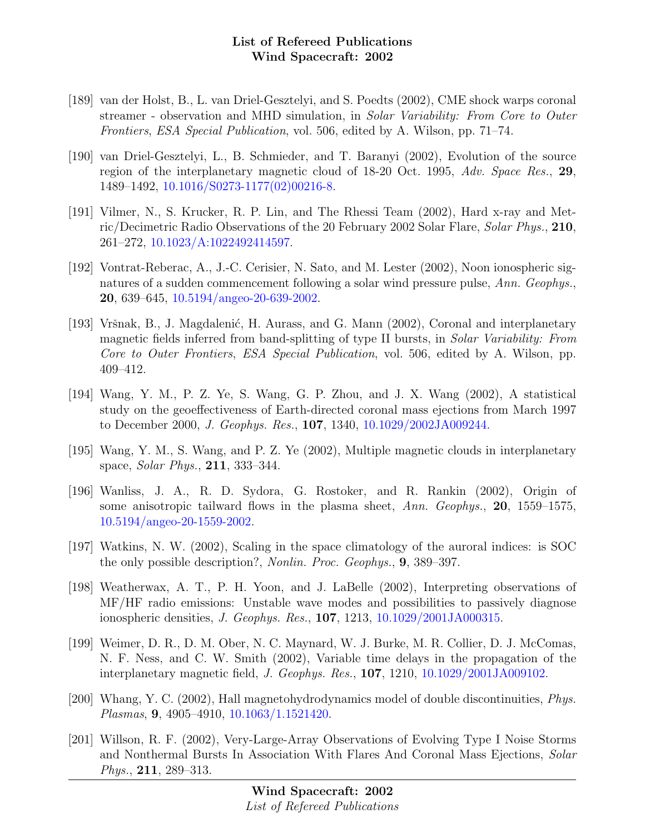- [189] van der Holst, B., L. van Driel-Gesztelyi, and S. Poedts (2002), CME shock warps coronal streamer - observation and MHD simulation, in Solar Variability: From Core to Outer Frontiers, ESA Special Publication, vol. 506, edited by A. Wilson, pp. 71–74.
- [190] van Driel-Gesztelyi, L., B. Schmieder, and T. Baranyi (2002), Evolution of the source region of the interplanetary magnetic cloud of 18-20 Oct. 1995, Adv. Space Res., 29, 1489–1492, [10.1016/S0273-1177\(02\)00216-8.](http://dx.doi.org/10.1016/S0273-1177(02)00216-8)
- [191] Vilmer, N., S. Krucker, R. P. Lin, and The Rhessi Team (2002), Hard x-ray and Metric/Decimetric Radio Observations of the 20 February 2002 Solar Flare, Solar Phys., 210, 261–272, [10.1023/A:1022492414597.](http://dx.doi.org/10.1023/A:1022492414597)
- [192] Vontrat-Reberac, A., J.-C. Cerisier, N. Sato, and M. Lester (2002), Noon ionospheric signatures of a sudden commencement following a solar wind pressure pulse, Ann. Geophys., 20, 639–645, [10.5194/angeo-20-639-2002.](http://dx.doi.org/10.5194/angeo-20-639-2002)
- [193] Vršnak, B., J. Magdalenić, H. Aurass, and G. Mann (2002), Coronal and interplanetary magnetic fields inferred from band-splitting of type II bursts, in Solar Variability: From Core to Outer Frontiers, ESA Special Publication, vol. 506, edited by A. Wilson, pp. 409–412.
- [194] Wang, Y. M., P. Z. Ye, S. Wang, G. P. Zhou, and J. X. Wang (2002), A statistical study on the geoeffectiveness of Earth-directed coronal mass ejections from March 1997 to December 2000, J. Geophys. Res., 107, 1340, [10.1029/2002JA009244.](http://dx.doi.org/10.1029/2002JA009244)
- [195] Wang, Y. M., S. Wang, and P. Z. Ye (2002), Multiple magnetic clouds in interplanetary space, Solar Phys., 211, 333–344.
- [196] Wanliss, J. A., R. D. Sydora, G. Rostoker, and R. Rankin (2002), Origin of some anisotropic tailward flows in the plasma sheet, Ann. Geophys., 20, 1559–1575, [10.5194/angeo-20-1559-2002.](http://dx.doi.org/10.5194/angeo-20-1559-2002)
- [197] Watkins, N. W. (2002), Scaling in the space climatology of the auroral indices: is SOC the only possible description?, Nonlin. Proc. Geophys., 9, 389–397.
- [198] Weatherwax, A. T., P. H. Yoon, and J. LaBelle (2002), Interpreting observations of MF/HF radio emissions: Unstable wave modes and possibilities to passively diagnose ionospheric densities, J. Geophys. Res., 107, 1213, [10.1029/2001JA000315.](http://dx.doi.org/10.1029/2001JA000315)
- [199] Weimer, D. R., D. M. Ober, N. C. Maynard, W. J. Burke, M. R. Collier, D. J. McComas, N. F. Ness, and C. W. Smith (2002), Variable time delays in the propagation of the interplanetary magnetic field, J. Geophys. Res., 107, 1210, [10.1029/2001JA009102.](http://dx.doi.org/10.1029/2001JA009102)
- [200] Whang, Y. C. (2002), Hall magnetohydrodynamics model of double discontinuities, Phys. Plasmas, 9, 4905–4910, [10.1063/1.1521420.](http://dx.doi.org/10.1063/1.1521420)
- [201] Willson, R. F. (2002), Very-Large-Array Observations of Evolving Type I Noise Storms and Nonthermal Bursts In Association With Flares And Coronal Mass Ejections, Solar Phys., 211, 289–313.